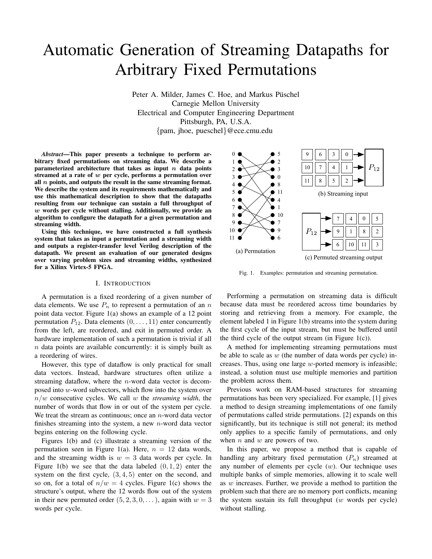# Automatic Generation of Streaming Datapaths for Arbitrary Fixed Permutations

Peter A. Milder, James C. Hoe, and Markus Püschel Carnegie Mellon University Electrical and Computer Engineering Department Pittsburgh, PA, U.S.A. {pam, jhoe, pueschel}@ece.cmu.edu

*Abstract***—This paper presents a technique to perform arbitrary fixed permutations on streaming data. We describe a parameterized architecture that takes as input** n **data points streamed at a rate of** w **per cycle, performs a permutation over all** n **points, and outputs the result in the same streaming format. We describe the system and its requirements mathematically and use this mathematical description to show that the datapaths resulting from our technique can sustain a full throughput of** w **words per cycle without stalling. Additionally, we provide an algorithm to configure the datapath for a given permutation and streaming width.**

**Using this technique, we have constructed a full synthesis system that takes as input a permutation and a streaming width and outputs a register-transfer level Verilog description of the datapath. We present an evaluation of our generated designs over varying problem sizes and streaming widths, synthesized for a Xilinx Virtex-5 FPGA.**

## I. INTRODUCTION

A permutation is a fixed reordering of a given number of data elements. We use  $P_n$  to represent a permutation of an n point data vector. Figure 1(a) shows an example of a 12 point permutation  $P_{12}$ . Data elements  $(0, \ldots, 11)$  enter concurrently from the left, are reordered, and exit in permuted order. A hardware implementation of such a permutation is trivial if all  $n$  data points are available concurrently: it is simply built as a reordering of wires.

However, this type of dataflow is only practical for small data vectors. Instead, hardware structures often utilize a streaming dataflow, where the n-word data vector is decomposed into w-word subvectors, which flow into the system over n/w consecutive cycles. We call w the *streaming width*, the number of words that flow in or out of the system per cycle. We treat the stream as continuous; once an  $n$ -word data vector finishes streaming into the system, a new  $n$ -word data vector begins entering on the following cycle.

Figures 1(b) and (c) illustrate a streaming version of the permutation seen in Figure 1(a). Here,  $n = 12$  data words, and the streaming width is  $w = 3$  data words per cycle. In Figure 1(b) we see that the data labeled  $(0, 1, 2)$  enter the system on the first cycle,  $(3, 4, 5)$  enter on the second, and so on, for a total of  $n/w = 4$  cycles. Figure 1(c) shows the structure's output, where the 12 words flow out of the system in their new permuted order  $(5, 2, 3, 0, ...)$ , again with  $w = 3$ words per cycle.



Fig. 1. Examples: permutation and streaming permutation.

Performing a permutation on streaming data is difficult because data must be reordered across time boundaries by storing and retrieving from a memory. For example, the element labeled 1 in Figure 1(b) streams into the system during the first cycle of the input stream, but must be buffered until the third cycle of the output stream (in Figure  $1(c)$ ).

A method for implementing streaming permutations must be able to scale as  $w$  (the number of data words per cycle) increases. Thus, using one large w-ported memory is infeasible; instead, a solution must use multiple memories and partition the problem across them.

Previous work on RAM-based structures for streaming permutations has been very specialized. For example, [1] gives a method to design streaming implementations of one family of permutations called stride permutations. [2] expands on this significantly, but its technique is still not general; its method only applies to a specific family of permutations, and only when  $n$  and  $w$  are powers of two.

In this paper, we propose a method that is capable of handling any arbitrary fixed permutation  $(P_n)$  streamed at any number of elements per cycle  $(w)$ . Our technique uses multiple banks of simple memories, allowing it to scale well as w increases. Further, we provide a method to partition the problem such that there are no memory port conflicts, meaning the system sustain its full throughput  $(w$  words per cycle) without stalling.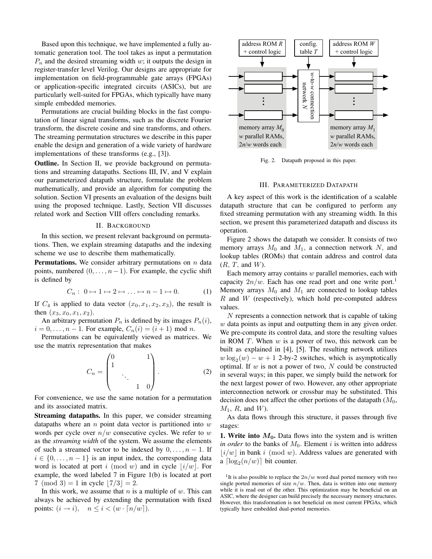Based upon this technique, we have implemented a fully automatic generation tool. The tool takes as input a permutation  $P_n$  and the desired streaming width w; it outputs the design in register-transfer level Verilog. Our designs are appropriate for implementation on field-programmable gate arrays (FPGAs) or application-specific integrated circuits (ASICs), but are particularly well-suited for FPGAs, which typically have many simple embedded memories.

Permutations are crucial building blocks in the fast computation of linear signal transforms, such as the discrete Fourier transform, the discrete cosine and sine transforms, and others. The streaming permutation structures we describe in this paper enable the design and generation of a wide variety of hardware implementations of these transforms (e.g., [3]).

**Outline.** In Section II, we provide background on permutations and streaming datapaths. Sections III, IV, and V explain our parameterized datapath structure, formulate the problem mathematically, and provide an algorithm for computing the solution. Section VI presents an evaluation of the designs built using the proposed technique. Lastly, Section VII discusses related work and Section VIII offers concluding remarks.

## II. BACKGROUND

In this section, we present relevant background on permutations. Then, we explain streaming datapaths and the indexing scheme we use to describe them mathematically.

**Permutations.** We consider arbitrary permutations on  $n$  data points, numbered  $(0, \ldots, n-1)$ . For example, the cyclic shift is defined by

$$
C_n: 0 \mapsto 1 \mapsto 2 \mapsto \ldots \mapsto n-1 \mapsto 0. \tag{1}
$$

If  $C_4$  is applied to data vector  $(x_0, x_1, x_2, x_3)$ , the result is then  $(x_3, x_0, x_1, x_2)$ .

An arbitrary permutation  $P_n$  is defined by its images  $P_n(i)$ ,  $i = 0, ..., n - 1$ . For example,  $C_n(i) = (i + 1) \text{ mod } n$ .

Permutations can be equivalently viewed as matrices. We use the matrix representation that makes

$$
C_n = \begin{pmatrix} 0 & & & 1 \\ 1 & & & \\ & \ddots & & \\ & & 1 & 0 \end{pmatrix} .
$$
 (2)

For convenience, we use the same notation for a permutation and its associated matrix.

**Streaming datapaths.** In this paper, we consider streaming datapaths where an  $n$  point data vector is partitioned into  $w$ words per cycle over  $n/w$  consecutive cycles. We refer to w as the *streaming width* of the system. We assume the elements of such a streamed vector to be indexed by  $0, \ldots, n - 1$ . If  $i \in \{0, \ldots, n-1\}$  is an input index, the corresponding data word is located at port i (mod w) and in cycle  $|i/w|$ . For example, the word labeled 7 in Figure 1(b) is located at port 7 (mod 3) = 1 in cycle  $|7/3| = 2$ .

In this work, we assume that  $n$  is a multiple of  $w$ . This can always be achieved by extending the permutation with fixed points:  $(i \rightarrow i)$ ,  $n \leq i < (w \cdot \lceil n/w \rceil)$ .



Fig. 2. Datapath proposed in this paper.

#### III. PARAMETERIZED DATAPATH

A key aspect of this work is the identification of a scalable datapath structure that can be configured to perform any fixed streaming permutation with any streaming width. In this section, we present this parameterized datapath and discuss its operation.

Figure 2 shows the datapath we consider. It consists of two memory arrays  $M_0$  and  $M_1$ , a connection network N, and lookup tables (ROMs) that contain address and control data  $(R, T, \text{ and } W)$ .

Each memory array contains  $w$  parallel memories, each with capacity  $2n/w$ . Each has one read port and one write port.<sup>1</sup> Memory arrays  $M_0$  and  $M_1$  are connected to lookup tables  $R$  and  $W$  (respectively), which hold pre-computed address values.

N represents a connection network that is capable of taking  $w$  data points as input and outputting them in any given order. We pre-compute its control data, and store the resulting values in ROM  $T$ . When  $w$  is a power of two, this network can be built as explained in [4], [5]. The resulting network utilizes  $w \log_2(w) - w + 1$  2-by-2 switches, which is asymptotically optimal. If  $w$  is not a power of two,  $N$  could be constructed in several ways; in this paper, we simply build the network for the next largest power of two. However, any other appropriate interconnection network or crossbar may be substituted. This decision does not affect the other portions of the datapath  $(M_0,$  $M_1$ , R, and W).

As data flows through this structure, it passes through five stages:

**1. Write into**  $M_0$ **. Data flows into the system and is written** *in order* to the banks of  $M_0$ . Element *i* is written into address  $|i/w|$  in bank i (mod w). Address values are generated with a  $\lceil \log_2(n/w) \rceil$  bit counter.

<sup>1</sup>It is also possible to replace the  $2n/w$  word dual ported memory with two single ported memories of size  $n/w$ . Then, data is written into one memory while it is read out of the other. This optimization may be beneficial on an ASIC, where the designer can build precisely the necessary memory structures. However, this transformation is not beneficial on most current FPGAs, which typically have embedded dual-ported memories.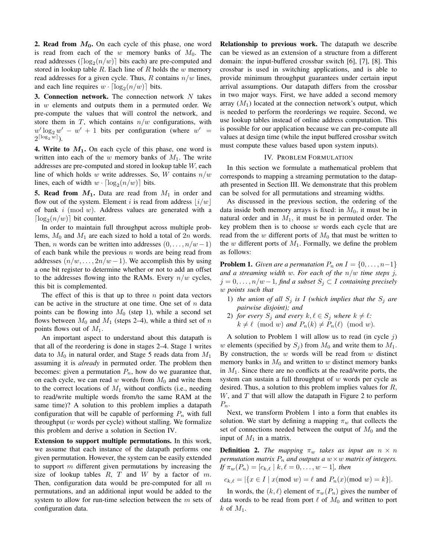**2. Read from**  $M_0$ **. On each cycle of this phase, one word** is read from each of the w memory banks of  $M_0$ . The read addresses ( $\lceil \log_2(n/w) \rceil$  bits each) are pre-computed and stored in lookup table  $R$ . Each line of  $R$  holds the  $w$  memory read addresses for a given cycle. Thus, R contains  $n/w$  lines, and each line requires  $w \cdot \lceil \log_2(n/w) \rceil$  bits.

**3. Connection network.** The connection network N takes in w elements and outputs them in a permuted order. We pre-compute the values that will control the network, and store them in  $T$ , which contains  $n/w$  configurations, with  $w'_1 \log_2 w' - w' + 1$  bits per configuration (where  $w' =$  $2^{\lceil \log_2 w \rceil}.$ 

**4. Write to**  $M_1$ **. On each cycle of this phase, one word is** written into each of the w memory banks of  $M_1$ . The write addresses are pre-computed and stored in lookup table W, each line of which holds w write addresses. So, W contains  $n/w$ lines, each of width  $w \cdot \lceil \log_2(n/w) \rceil$  bits.

**5. Read from**  $M_1$ **. Data are read from**  $M_1$  **in order and** flow out of the system. Element i is read from address  $[i/w]$ of bank  $i \pmod{w}$ . Address values are generated with a  $\lceil \log_2(n/w) \rceil$  bit counter.

In order to maintain full throughput across multiple problems,  $M_0$  and  $M_1$  are each sized to hold a total of  $2n$  words. Then, *n* words can be written into addresses  $(0, \ldots, n/w - 1)$ of each bank while the previous  $n$  words are being read from addresses  $(n/w, \ldots, 2n/w - 1)$ . We accomplish this by using a one bit register to determine whether or not to add an offset to the addresses flowing into the RAMs. Every  $n/w$  cycles, this bit is complemented.

The effect of this is that up to three  $n$  point data vectors can be active in the structure at one time. One set of  $n$  data points can be flowing into  $M_0$  (step 1), while a second set flows between  $M_0$  and  $M_1$  (steps 2–4), while a third set of n points flows out of  $M_1$ .

An important aspect to understand about this datapath is that all of the reordering is done in stages 2–4. Stage 1 writes data to  $M_0$  in natural order, and Stage 5 reads data from  $M_1$ assuming it is *already* in permuted order. The problem then becomes: given a permutation  $P_n$ , how do we guarantee that, on each cycle, we can read w words from  $M_0$  and write them to the correct locations of  $M_1$  without conflicts (i.e., needing to read/write multiple words from/to the same RAM at the same time)? A solution to this problem implies a datapath configuration that will be capable of performing  $P_n$  with full throughput ( $w$  words per cycle) without stalling. We formalize this problem and derive a solution in Section IV.

**Extension to support multiple permutations.** In this work, we assume that each instance of the datapath performs one given permutation. However, the system can be easily extended to support  $m$  different given permutations by increasing the size of lookup tables  $R$ ,  $T$  and  $W$  by a factor of  $m$ . Then, configuration data would be pre-computed for all  $m$ permutations, and an additional input would be added to the system to allow for run-time selection between the  $m$  sets of configuration data.

**Relationship to previous work.** The datapath we describe can be viewed as an extension of a structure from a different domain: the input-buffered crossbar switch [6], [7], [8]. This crossbar is used in switching applications, and is able to provide minimum throughput guarantees under certain input arrival assumptions. Our datapath differs from the crossbar in two major ways. First, we have added a second memory array  $(M_1)$  located at the connection network's output, which is needed to perform the reorderings we require. Second, we use lookup tables instead of online address computation. This is possible for our application because we can pre-compute all values at design time (while the input buffered crossbar switch must compute these values based upon system inputs).

#### IV. PROBLEM FORMULATION

In this section we formulate a mathematical problem that corresponds to mapping a streaming permutation to the datapath presented in Section III. We demonstrate that this problem can be solved for all permutations and streaming widths.

As discussed in the previous section, the ordering of the data inside both memory arrays is fixed: in  $M_0$ , it must be in natural order and in  $M_1$ , it must be in permuted order. The key problem then is to choose  $w$  words each cycle that are read from the  $w$  different ports of  $M_0$  that must be written to the  $w$  different ports of  $M_1$ . Formally, we define the problem as follows:

**Problem 1.** *Given are a permutation*  $P_n$  *on*  $I = \{0, \ldots, n-1\}$ *and a streaming width* w*. For each of the* n/w *time steps* j*,*  $j = 0, \ldots, n/w - 1$ , find a subset  $S_j \subset I$  containing precisely w *points such that*

- 1) *the union of all*  $S_j$  *is I* (which implies that the  $S_j$  are *pairwise disjoint); and*
- 2) *for every*  $S_i$  *and every*  $k, \ell \in S_i$  *where*  $k \neq \ell$ *:*  $k \neq \ell \pmod{w}$  and  $P_n(k) \neq P_n(\ell) \pmod{w}$ .

A solution to Problem 1 will allow us to read (in cycle  $j$ ) w elements (specified by  $S_i$ ) from  $M_0$  and write them to  $M_1$ . By construction, the  $w$  words will be read from  $w$  distinct memory banks in  $M_0$  and written to w distinct memory banks in  $M_1$ . Since there are no conflicts at the read/write ports, the system can sustain a full throughput of  $w$  words per cycle as desired. Thus, a solution to this problem implies values for  $R$ ,  $W$ , and  $T$  that will allow the datapath in Figure 2 to perform  $P_n$ .

Next, we transform Problem 1 into a form that enables its solution. We start by defining a mapping  $\pi_w$  that collects the set of connections needed between the output of  $M_0$  and the input of  $M_1$  in a matrix.

**Definition 2.** *The mapping*  $\pi_w$  *takes as input an*  $n \times n$ *permutation matrix*  $P_n$  *and outputs a*  $w \times w$  *matrix of integers. If*  $\pi_w(P_n) = [c_{k,\ell} | k, \ell = 0, \ldots, w-1]$ , then

$$
c_{k,\ell} = |\{x \in I \mid x \text{ (mod } w) = \ell \text{ and } P_n(x) \text{ (mod } w) = k\}|.
$$

In words, the  $(k, \ell)$  element of  $\pi_w(P_n)$  gives the number of data words to be read from port  $\ell$  of  $M_0$  and written to port k of  $M_1$ .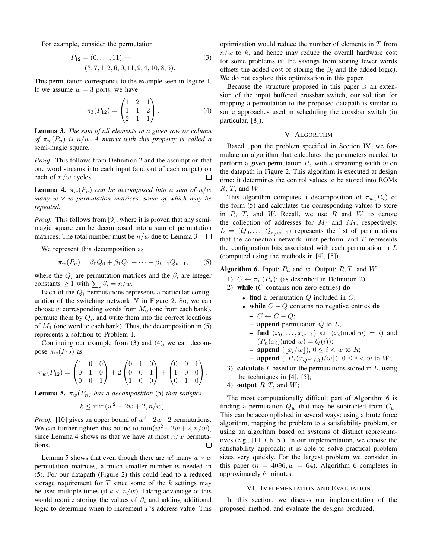For example, consider the permutation

$$
P_{12} = (0, \dots, 11) \rightarrow (3)
$$
  
(3, 7, 1, 2, 6, 0, 11, 9, 4, 10, 8, 5).

This permutation corresponds to the example seen in Figure 1. If we assume  $w = 3$  ports, we have

$$
\pi_3(P_{12}) = \begin{pmatrix} 1 & 2 & 1 \\ 1 & 1 & 2 \\ 2 & 1 & 1 \end{pmatrix} . \tag{4}
$$

**Lemma 3.** *The sum of all elements in a given row or column of*  $\pi_w(P_n)$  *is*  $n/w$ *. A matrix with this property is called a* semi-magic square*.*

*Proof.* This follows from Definition 2 and the assumption that one word streams into each input (and out of each output) on each of  $n/w$  cycles.  $\Box$ 

**Lemma 4.**  $\pi_w(P_n)$  *can be decomposed into a sum of*  $n/w$ *many*  $w \times w$  *permutation matrices, some of which may be repeated.*

*Proof.* This follows from [9], where it is proven that any semimagic square can be decomposed into a sum of permutation matrices. The total number must be  $n/w$  due to Lemma 3.  $\square$ 

We represent this decomposition as

$$
\pi_w(P_n) = \beta_0 Q_0 + \beta_1 Q_1 + \dots + \beta_{k-1} Q_{k-1},
$$
 (5)

where the  $Q_i$  are permutation matrices and the  $\beta_i$  are integer constants  $\geq 1$  with  $\sum_i \beta_i = n/w$ .

Each of the  $Q_i$  permutations represents a particular configuration of the switching network  $N$  in Figure 2. So, we can choose w corresponding words from  $M_0$  (one from each bank), permute them by  $Q_i$ , and write them into the correct locations of  $M_1$  (one word to each bank). Thus, the decomposition in (5) represents a solution to Problem 1.

Continuing our example from (3) and (4), we can decompose  $\pi_w(P_{12})$  as

$$
\pi_w(P_{12}) = \begin{pmatrix} 1 & 0 & 0 \\ 0 & 1 & 0 \\ 0 & 0 & 1 \end{pmatrix} + 2 \begin{pmatrix} 0 & 1 & 0 \\ 0 & 0 & 1 \\ 1 & 0 & 0 \end{pmatrix} + \begin{pmatrix} 0 & 0 & 1 \\ 1 & 0 & 0 \\ 0 & 1 & 0 \end{pmatrix}.
$$

**Lemma 5.**  $\pi_w(P_n)$  *has a decomposition* (5) *that satisfies* 

$$
k \le \min(w^2 - 2w + 2, n/w).
$$

*Proof.* [10] gives an upper bound of  $w^2 - 2w + 2$  permutations. We can further tighten this bound to  $\min(w^2 - 2w + 2, n/w)$ , since Lemma 4 shows us that we have at most  $n/w$  permutations.  $\Box$ 

Lemma 5 shows that even though there are w! many  $w \times w$ permutation matrices, a much smaller number is needed in (5). For our datapath (Figure 2) this could lead to a reduced storage requirement for  $T$  since some of the  $k$  settings may be used multiple times (if  $k < n/w$ ). Taking advantage of this would require storing the values of  $\beta_i$  and adding additional logic to determine when to increment T's address value. This

optimization would reduce the number of elements in  $T$  from  $n/w$  to k, and hence may reduce the overall hardware cost for some problems (if the savings from storing fewer words offsets the added cost of storing the  $\beta_i$  and the added logic). We do not explore this optimization in this paper.

Because the structure proposed in this paper is an extension of the input buffered crossbar switch, our solution for mapping a permutation to the proposed datapath is similar to some approaches used in scheduling the crossbar switch (in particular, [8]).

# V. ALGORITHM

Based upon the problem specified in Section IV, we formulate an algorithm that calculates the parameters needed to perform a given permutation  $P_n$  with a streaming width w on the datapath in Figure 2. This algorithm is executed at design time; it determines the control values to be stored into ROMs  $R, T,$  and  $W$ .

This algorithm computes a decomposition of  $\pi_w(P_n)$  of the form (5) and calculates the corresponding values to store in  $R$ ,  $T$ , and  $W$ . Recall, we use  $R$  and  $W$  to denote the collection of addresses for  $M_0$  and  $M_1$ , respectively.  $L = (Q_0, \ldots, Q_{n/w-1})$  represents the list of permutations that the connection network must perform, and  $T$  represents the configuration bits associated with each permutation in  $L$ (computed using the methods in [4], [5]).

**Algorithm 6.** Input:  $P_n$  and w. Output:  $R, T$ , and W.

- 1)  $C \leftarrow \pi_w(P_n)$ ; (as described in Definition 2).
- 2) **while** (C contains non-zero entries) **do**
	- **find** a permutation  $Q$  included in  $C$ ;
	- **while** C − Q contains no negative entries **do –** C ← C − Q;
		- **append** permutation  $Q$  to  $L$ ;
		- **find**  $(x_0, \ldots, x_{w-1})$  s.t.  $(x_i \text{ (mod } w) = i)$  and  $(P_n(x_i)(\text{mod } w) = Q(i));$
		- **append**  $(|x_i/w|)$ ,  $0 \le i \le w$  to R;
		- **− append**  $(|P_n(x_{Q^{-1}(i)})/w|)$ ,  $0 \le i < w$  to  $W$ ;
- 3) **calculate**  $T$  based on the permutations stored in  $L$ , using the techniques in [4], [5];
- 4) **output**  $R, T$ , and  $W$ ;

The most computationally difficult part of Algorithm 6 is finding a permutation  $Q_w$  that may be subtracted from  $C_w$ . This can be accomplished in several ways: using a brute force algorithm, mapping the problem to a satisfiability problem, or using an algorithm based on systems of distinct representatives (e.g., [11, Ch. 5]). In our implementation, we choose the satisfiability approach; it is able to solve practical problem sizes very quickly. For the largest problem we consider in this paper  $(n = 4096, w = 64)$ , Algorithm 6 completes in approximately 6 minutes.

## VI. IMPLEMENTATION AND EVALUATION

In this section, we discuss our implementation of the proposed method, and evaluate the designs produced.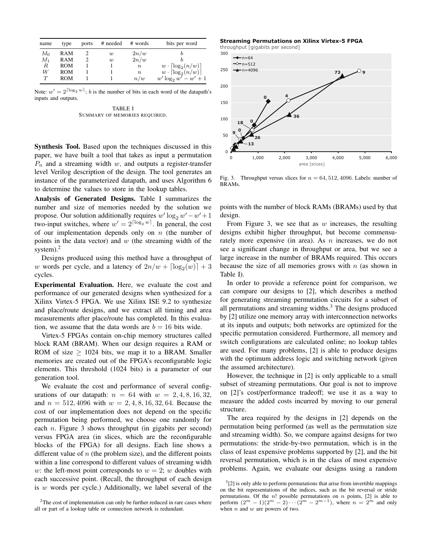| name    | type       | ports | # needed | # words          | bits per word                       |
|---------|------------|-------|----------|------------------|-------------------------------------|
| $M_{0}$ | RAM        |       | w        | 2n/w             |                                     |
| $M_1$   | RAM        |       | w        | 2n/w             |                                     |
| R       | <b>ROM</b> |       |          | $\boldsymbol{n}$ | $w \cdot \lceil \log_2(n/w) \rceil$ |
| W       | <b>ROM</b> |       |          | $\boldsymbol{n}$ | $w \cdot \lceil \log_2(n/w) \rceil$ |
| T       | <b>ROM</b> |       |          | n/w              | $w' \log_2 w' - w' + 1$             |

Note:  $w' = 2^{\lceil \log_2 w \rceil}$ ; *b* is the number of bits in each word of the datapath's inputs and outputs.

TABLE I SUMMARY OF MEMORIES REQUIRED.

**Synthesis Tool.** Based upon the techniques discussed in this paper, we have built a tool that takes as input a permutation  $P_n$  and a streaming width w, and outputs a register-transfer level Verilog description of the design. The tool generates an instance of the parameterized datapath, and uses Algorithm 6 to determine the values to store in the lookup tables.

**Analysis of Generated Designs.** Table I summarizes the number and size of memories needed by the solution we propose. Our solution additionally requires  $w' \log_2 w' - w' + 1$ two-input switches, where  $w' = 2^{\lceil \log_2 w \rceil}$ . In general, the cost of our implementation depends only on  $n$  (the number of points in the data vector) and  $w$  (the streaming width of the system). $<sup>2</sup>$ </sup>

Designs produced using this method have a throughput of w words per cycle, and a latency of  $2n/w + \lceil \log_2(w) \rceil + 3$ cycles.

**Experimental Evaluation.** Here, we evaluate the cost and performance of our generated designs when synthesized for a Xilinx Virtex-5 FPGA. We use Xilinx ISE 9.2 to synthesize and place/route designs, and we extract all timing and area measurements after place/route has completed. In this evaluation, we assume that the data words are  $b = 16$  bits wide.

Virtex-5 FPGAs contain on-chip memory structures called block RAM (BRAM). When our design requires a RAM or ROM of size  $> 1024$  bits, we map it to a BRAM. Smaller memories are created out of the FPGA's reconfigurable logic elements. This threshold (1024 bits) is a parameter of our generation tool.

We evaluate the cost and performance of several configurations of our datapath:  $n = 64$  with  $w = 2, 4, 8, 16, 32,$ and  $n = 512,4096$  with  $w = 2,4,8,16,32,64$ . Because the cost of our implementation does not depend on the specific permutation being performed, we choose one randomly for each *n*. Figure 3 shows throughput (in gigabits per second) versus FPGA area (in slices, which are the reconfigurable blocks of the FPGA) for all designs. Each line shows a different value of  $n$  (the problem size), and the different points within a line correspond to different values of streaming width w: the left-most point corresponds to  $w = 2$ ; w doubles with each successive point. (Recall, the throughput of each design is w words per cycle.) Additionally, we label several of the **Streaming Permutations on Xilinx Virtex-5 FPGA**





Fig. 3. Throughput versus slices for  $n = 64, 512, 4096$ . Labels: number of BRAMs.

points with the number of block RAMs (BRAMs) used by that design.

From Figure 3, we see that as  $w$  increases, the resulting designs exhibit higher throughput, but become commensurately more expensive (in area). As  $n$  increases, we do not see a significant change in throughput or area, but we see a large increase in the number of BRAMs required. This occurs because the size of all memories grows with  $n$  (as shown in Table I).

In order to provide a reference point for comparison, we can compare our designs to [2], which describes a method for generating streaming permutation circuits for a subset of all permutations and streaming widths. $3$  The designs produced by [2] utilize one memory array with interconnection networks at its inputs and outputs; both networks are optimized for the specific permutation considered. Furthermore, all memory and switch configurations are calculated online; no lookup tables are used. For many problems, [2] is able to produce designs with the optimum address logic and switching network (given the assumed architecture).

However, the technique in [2] is only applicable to a small subset of streaming permutations. Our goal is not to improve on [2]'s cost/performance tradeoff; we use it as a way to measure the added costs incurred by moving to our general structure.

The area required by the designs in [2] depends on the permutation being performed (as well as the permutation size and streaming width). So, we compare against designs for two permutations: the stride-by-two permutation, which is in the class of least expensive problems supported by [2], and the bit reversal permutation, which is in the class of most expensive problems. Again, we evaluate our designs using a random

<sup>&</sup>lt;sup>2</sup>The cost of implementation can only be further reduced in rare cases where all or part of a lookup table or connection network is redundant.

 $3$ [2] is only able to perform permutations that arise from invertible mappings on the bit representations of the indices, such as the bit reversal or stride permutations. Of the *n*! possible permutations on *n* points, [2] is able to perform  $(2^m - 1)(2^m - 2) \cdots (2^m - 2^{m-1})$ , where  $n = 2^m$  and only when  $n$  and  $w$  are powers of two.